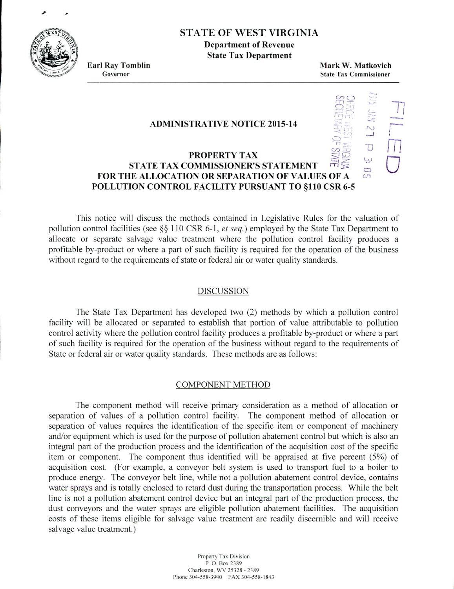# **STATE OF WEST VIRGINIA**

**Department of Revenue State Tax Department**

**Earl Ray Tomblin**<br>
Governor Mark W. Matkovich<br>
State Tax Commissioner **State Tax Commissioner** 

> $\overline{U}$ ىبا

 $\circ$  $\epsilon$ 

'I

**(**

# **ADMINISTRATIVE NOTICE 2015-14**  $\mathbb{R}$

#### **PROPERTY TAX STATE TAX COMMISSIONER'S STATEMENT**  $\sqrt{1}$ **FOR THE ALLOCATION OR SEPARATION OF VALUES OF A POLLUTION CONTROL FACILITY PURSUANT TO §110 CSR 6-5**

This notice will discuss the methods contained in Legislative Rules for the valuation of pollution control facilities (see  $\S$  110 CSR 6-1, *et seq.*) employed by the State Tax Department to allocate or separate salvage value treatment where the pollution control facility produces a profitable by-product or where a part of such facility is required for the operation of the business without regard to the requirements of state or federal air or water quality standards.

## DISCUSSION

The State Tax Department has developed two (2) methods by which a pollution control facility will be allocated or separated to establish that portion of value attributable to pollution control activity where the pollution control facility produces a profitable by-product or where a part of such facility is required for the operation of the business without regard to the requirements of State or federal air or water quality standards. These methods are as follows:

#### COMPONENT METHOD

The component method will receive primary consideration as a method of allocation or separation of values of a pollution control facility. The component method of allocation or separation of values requires the identification of the specific item or component of machinery and/or equipment which is used for the purpose of pollution abatement control but which is also an integral part of the production process and the identification of the acquisition cost of the specific item or component. The component thus identified will be appraised at five percent (5%) of acquisition cost. (For example. a conveyor belt system is used to transport fuel to a boiler to produce energy. The conveyor belt line, while not a pollution abatement control device, contains water sprays and is totally enclosed to retard dust during the transportation process. While the belt line is not a pollution abatement control device but an integral part of the production process, the dust conveyors and the water sprays are eligible pollution abatement facilities. The acquisition costs of these items eligible for salvage value treatment are readily discernible and will receive salvage value treatment.)

> Property Tax Division P. O. Box 2389 Charleston, WV 25328 - 2389 Phone 304-558-3940 FAX 304-558-1843